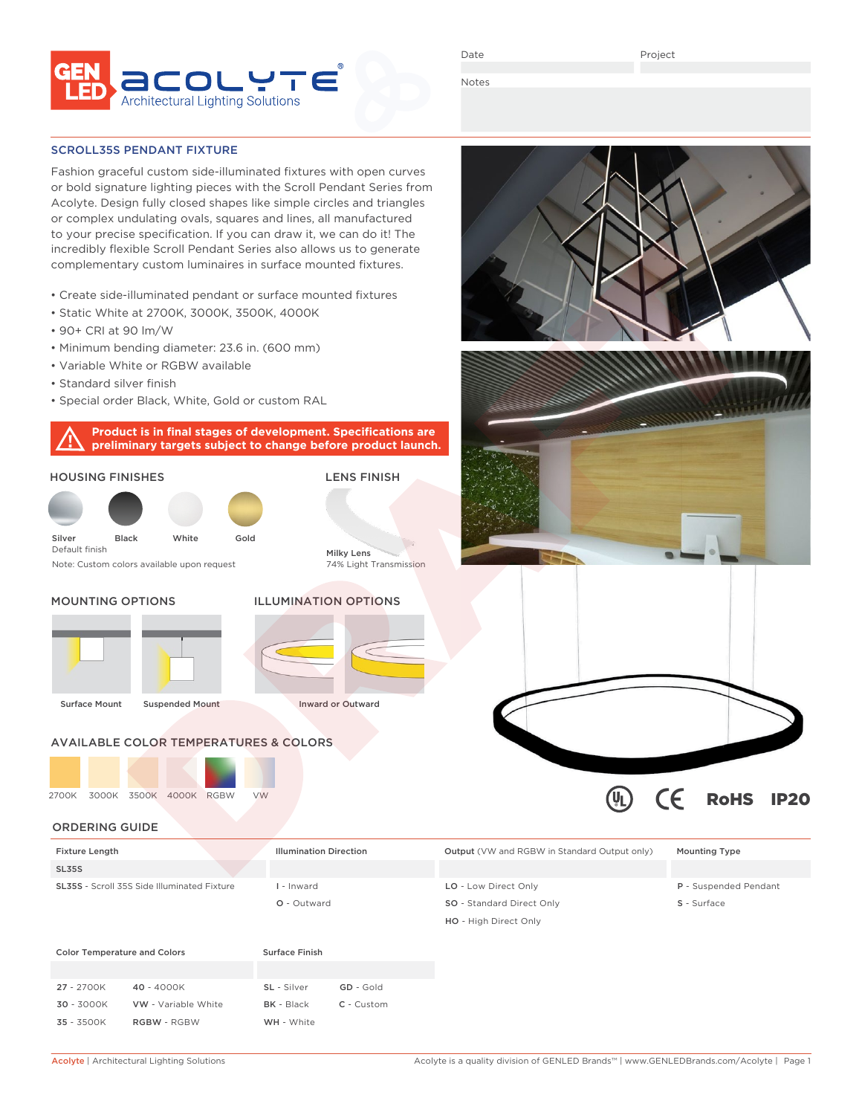

Date

Notes

#### SCROLL35S PENDANT FIXTURE

Fashion graceful custom side-illuminated fixtures with open curves or bold signature lighting pieces with the Scroll Pendant Series from Acolyte. Design fully closed shapes like simple circles and triangles or complex undulating ovals, squares and lines, all manufactured to your precise specification. If you can draw it, we can do it! The incredibly flexible Scroll Pendant Series also allows us to generate complementary custom luminaires in surface mounted fixtures.

- Create side-illuminated pendant or surface mounted fixtures
- Static White at 2700K, 3000K, 3500K, 4000K
- 90+ CRI at 90 lm/W
- Minimum bending diameter: 23.6 in. (600 mm)
- Variable White or RGBW available
- Standard silver finish
- Special order Black, White, Gold or custom RAL

**Product is in final stages of development. Specifications are preliminary targets subject to change before product launch.**





| <b>Fixture Length</b>                              | <b>Illumination Direction</b> | <b>Output</b> (VW and RGBW in Standard Output only) | <b>Mounting Type</b>  |
|----------------------------------------------------|-------------------------------|-----------------------------------------------------|-----------------------|
| <b>SL35S</b>                                       |                               |                                                     |                       |
| <b>SL35S</b> - Scroll 35S Side Illuminated Fixture | - Inward                      | LO - Low Direct Only                                | P - Suspended Pendant |
|                                                    | O - Outward                   | <b>SO</b> - Standard Direct Only                    | S - Surface           |

| <b>Color Temperature and Colors</b> |                            | Surface Finish |              |
|-------------------------------------|----------------------------|----------------|--------------|
|                                     |                            |                |              |
| $27 - 2700K$                        | $40 - 4000K$               | SL - Silver    | GD - Gold    |
| $30 - 3000K$                        | <b>VW</b> - Variable White | $BK - Black$   | $C -$ Custom |
| $35 - 3500K$                        | <b>RGBW - RGBW</b>         | WH - White     |              |
|                                     |                            |                |              |

 $\textcircled{\tiny{h}}$ 

 $\epsilon$ 

RoHS IP20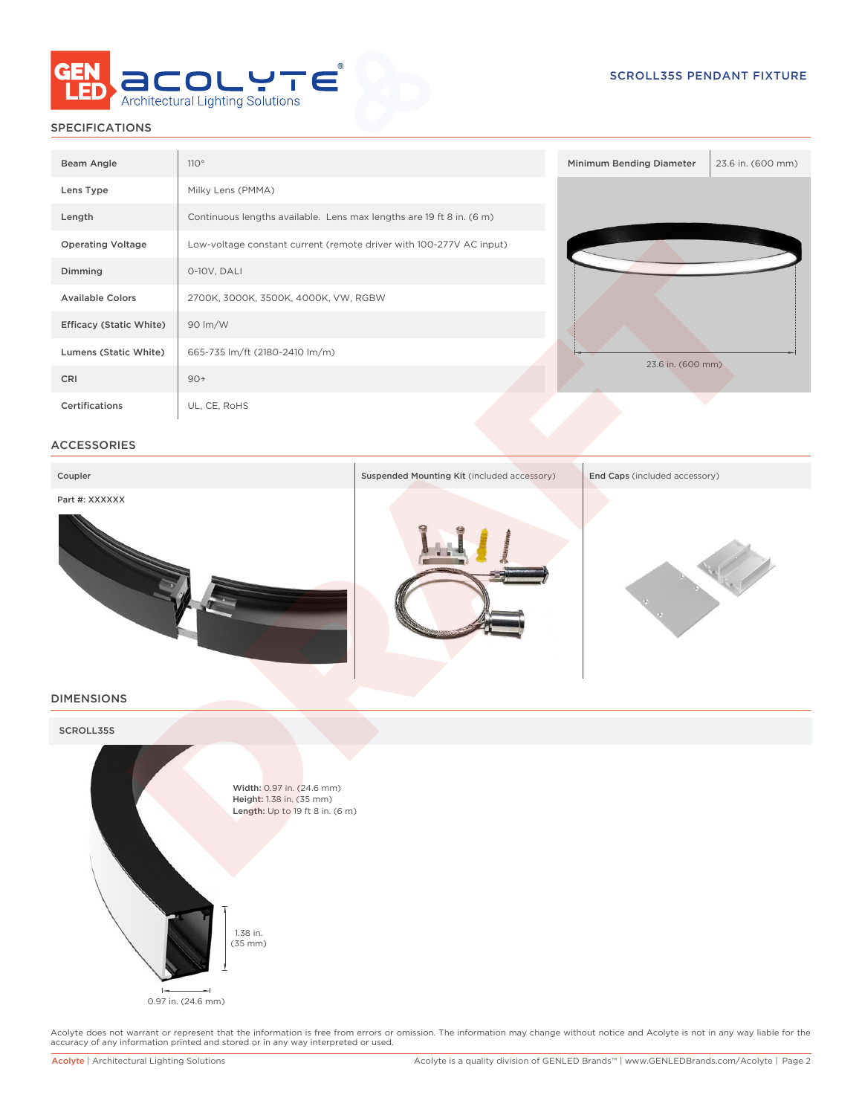

# SPECIFICATIONS

| Beam Angle                     | 110°                                                                 | Minimum Bending Diameter | 23.6 in. (600 mm) |
|--------------------------------|----------------------------------------------------------------------|--------------------------|-------------------|
| Lens Type                      | Milky Lens (PMMA)                                                    |                          |                   |
| Length                         | Continuous lengths available. Lens max lengths are 19 ft 8 in. (6 m) |                          |                   |
| <b>Operating Voltage</b>       | Low-voltage constant current (remote driver with 100-277V AC input)  |                          |                   |
| Dimming                        | 0-10V, DALI                                                          |                          |                   |
| <b>Available Colors</b>        | 2700K, 3000K, 3500K, 4000K, VW, RGBW                                 |                          |                   |
| <b>Efficacy (Static White)</b> | 90 lm/W                                                              |                          |                   |
| Lumens (Static White)          | 665-735 lm/ft (2180-2410 lm/m)                                       | 23.6 in. (600 mm)        |                   |
| CRI                            | $90+$                                                                |                          |                   |
| Certifications                 | UL, CE, RoHS                                                         |                          |                   |

## ACCESSORIES



#### DIMENSIONS



Acolyte does not warrant or represent that the information is free from errors or omission. The information may change without notice and Acolyte is not in any way liable for the<br>accuracy of any information printed and sto